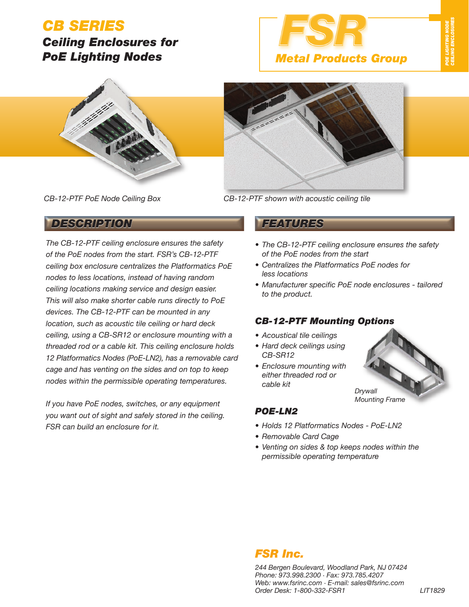# *CB SERIES*

## *Ceiling Enclosures for PoE Lighting Nodes*





*CB-12-PTF PoE Node Ceiling Box*

*DESCRIPTION FEATURES*

The CB-12-PTF ceiling enclosure ensures the safety of the PoE nodes from the start. FSR's CB-12-PTF ceiling box enclosure centralizes the Platformatics PoE nodes to less locations, instead of having random ceiling locations making service and design easier. This will also make shorter cable runs directly to PoE devices. The CB-12-PTF can be mounted in any location, such as acoustic tile ceiling or hard deck ceiling, using a CB-SR12 or enclosure mounting with a threaded rod or a cable kit. This ceiling enclosure holds 12 Platformatics Nodes (PoE-LN2), has a removable card cage and has venting on the sides and on top to keep nodes within the permissible operating temperatures.

If you have PoE nodes, switches, or any equipment you want out of sight and safely stored in the ceiling. FSR can build an enclosure for it.

*CB-12-PTF shown with acoustic ceiling tile*

- *The CB-12-PTF ceiling enclosure ensures the safety of the PoE nodes from the start*
- *Centralizes the Platformatics PoE nodes for less locations*
- *Manufacturer specific PoE node enclosures tailored to the product.*

### *CB-12-PTF Mounting Options*

- *Acoustical tile ceilings*
- *Hard deck ceilings using CB-SR12*
- *Enclosure mounting with either threaded rod or cable kit*



### *POE-LN2*

- *Holds 12 Platformatics Nodes PoE-LN2*
- *Removable Card Cage*
- *Venting on sides & top keeps nodes within the permissible operating temperature*

## *FSR Inc.*

*244 Bergen Boulevard, Woodland Park, NJ 07424 Phone: 973.998.2300 · Fax: 973.785.4207 Web: www.fsrinc.com · E-mail: sales@fsrinc.com Order Desk: 1-800-332-FSR1 LIT1829*